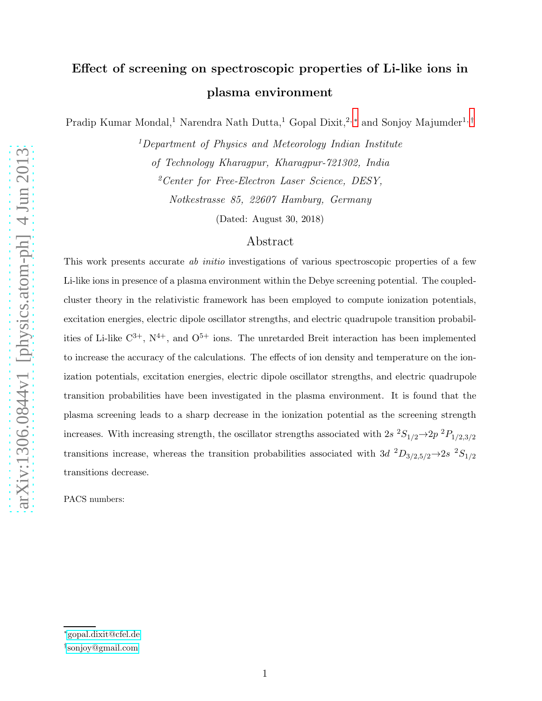# Effect of screening on spectroscopic properties of Li-like ions in plasma environment

Pradip Kumar Mondal,<sup>1</sup> Narendra Nath Dutta,<sup>1</sup> Gopal Dixit,<sup>2,\*</sup> and Sonjoy Majumder<sup>1,[†](#page-0-1)</sup>

 $1$ Department of Physics and Meteorology Indian Institute of Technology Kharagpur, Kharagpur-721302, India <sup>2</sup>Center for Free-Electron Laser Science, DESY, Notkestrasse 85, 22607 Hamburg, Germany

(Dated: August 30, 2018)

## Abstract

This work presents accurate *ab initio* investigations of various spectroscopic properties of a few Li-like ions in presence of a plasma environment within the Debye screening potential. The coupledcluster theory in the relativistic framework has been employed to compute ionization potentials, excitation energies, electric dipole oscillator strengths, and electric quadrupole transition probabilities of Li-like  $C^{3+}$ ,  $N^{4+}$ , and  $O^{5+}$  ions. The unretarded Breit interaction has been implemented to increase the accuracy of the calculations. The effects of ion density and temperature on the ionization potentials, excitation energies, electric dipole oscillator strengths, and electric quadrupole transition probabilities have been investigated in the plasma environment. It is found that the plasma screening leads to a sharp decrease in the ionization potential as the screening strength increases. With increasing strength, the oscillator strengths associated with  $2s^{2}S_{1/2} \rightarrow 2p^{2}P_{1/2,3/2}$ transitions increase, whereas the transition probabilities associated with 3d  ${}^{2}D_{3/2,5/2}$   $\rightarrow$  2s  ${}^{2}S_{1/2}$ transitions decrease.

PACS numbers:

<span id="page-0-1"></span><span id="page-0-0"></span><sup>∗</sup>[gopal.dixit@cfel.de](mailto:gopal.dixit@cfel.de)

<sup>†</sup> [sonjoy@gmail.com](mailto:sonjoy@gmail.com)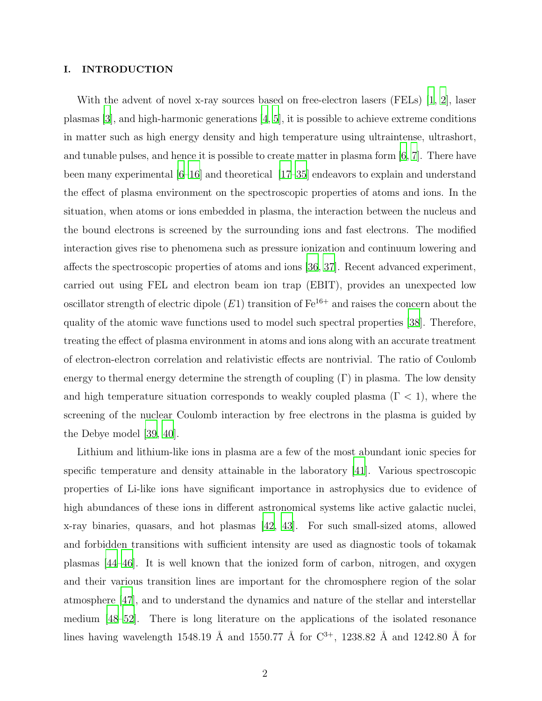#### I. INTRODUCTION

With the advent of novel x-ray sources based on free-electron lasers (FELs) [\[1,](#page-14-0) [2](#page-14-1)], laser plasmas  $|3|$ , and high-harmonic generations  $|4, 5|$ , it is possible to achieve extreme conditions in matter such as high energy density and high temperature using ultraintense, ultrashort, and tunable pulses, and hence it is possible to create matter in plasma form  $(6, 7]$  $(6, 7]$  $(6, 7]$ . There have been many experimental [\[6](#page-14-5)[–16\]](#page-15-1) and theoretical [\[17](#page-15-2)[–35\]](#page-16-0) endeavors to explain and understand the effect of plasma environment on the spectroscopic properties of atoms and ions. In the situation, when atoms or ions embedded in plasma, the interaction between the nucleus and the bound electrons is screened by the surrounding ions and fast electrons. The modified interaction gives rise to phenomena such as pressure ionization and continuum lowering and affects the spectroscopic properties of atoms and ions [\[36,](#page-16-1) [37\]](#page-16-2). Recent advanced experiment, carried out using FEL and electron beam ion trap (EBIT), provides an unexpected low oscillator strength of electric dipole  $(E1)$  transition of  $Fe^{16+}$  and raises the concern about the quality of the atomic wave functions used to model such spectral properties [\[38](#page-16-3)]. Therefore, treating the effect of plasma environment in atoms and ions along with an accurate treatment of electron-electron correlation and relativistic effects are nontrivial. The ratio of Coulomb energy to thermal energy determine the strength of coupling  $(\Gamma)$  in plasma. The low density and high temperature situation corresponds to weakly coupled plasma  $(\Gamma < 1)$ , where the screening of the nuclear Coulomb interaction by free electrons in the plasma is guided by the Debye model [\[39](#page-16-4), [40](#page-16-5)].

Lithium and lithium-like ions in plasma are a few of the most abundant ionic species for specific temperature and density attainable in the laboratory [\[41](#page-16-6)]. Various spectroscopic properties of Li-like ions have significant importance in astrophysics due to evidence of high abundances of these ions in different astronomical systems like active galactic nuclei, x-ray binaries, quasars, and hot plasmas [\[42,](#page-16-7) [43\]](#page-16-8). For such small-sized atoms, allowed and forbidden transitions with sufficient intensity are used as diagnostic tools of tokamak plasmas [\[44](#page-17-0)[–46\]](#page-17-1). It is well known that the ionized form of carbon, nitrogen, and oxygen and their various transition lines are important for the chromosphere region of the solar atmosphere [\[47\]](#page-17-2), and to understand the dynamics and nature of the stellar and interstellar medium [\[48](#page-17-3)[–52](#page-17-4)]. There is long literature on the applications of the isolated resonance lines having wavelength 1548.19 Å and 1550.77 Å for  $C^{3+}$ , 1238.82 Å and 1242.80 Å for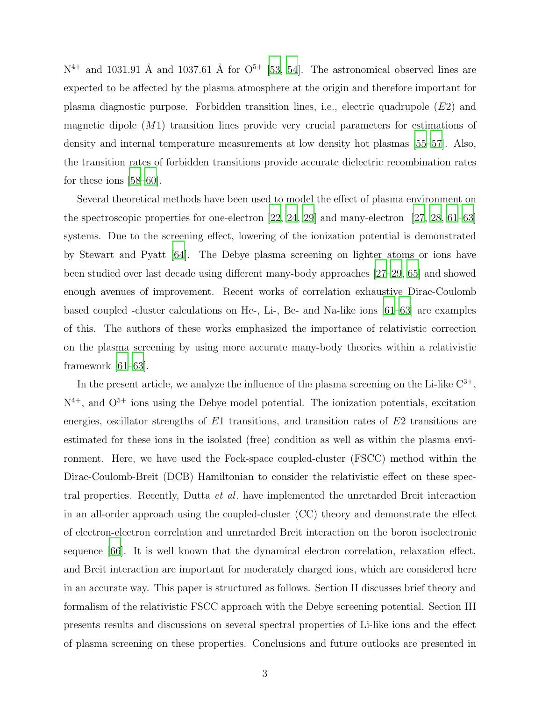$N^{4+}$  and 1031.91 Å and 1037.61 Å for  $O^{5+}$  [\[53,](#page-17-5) [54\]](#page-17-6). The astronomical observed lines are expected to be affected by the plasma atmosphere at the origin and therefore important for plasma diagnostic purpose. Forbidden transition lines, i.e., electric quadrupole  $(E2)$  and magnetic dipole (M1) transition lines provide very crucial parameters for estimations of density and internal temperature measurements at low density hot plasmas [\[55](#page-17-7)[–57](#page-17-8)]. Also, the transition rates of forbidden transitions provide accurate dielectric recombination rates for these ions [\[58](#page-17-9)[–60\]](#page-17-10).

Several theoretical methods have been used to model the effect of plasma environment on the spectroscopic properties for one-electron  $[22, 24, 29]$  $[22, 24, 29]$  $[22, 24, 29]$  $[22, 24, 29]$  and many-electron  $[27, 28, 61-63]$  $[27, 28, 61-63]$  $[27, 28, 61-63]$  $[27, 28, 61-63]$ systems. Due to the screening effect, lowering of the ionization potential is demonstrated by Stewart and Pyatt [\[64](#page-18-1)]. The Debye plasma screening on lighter atoms or ions have been studied over last decade using different many-body approaches [\[27](#page-16-11)[–29](#page-16-10), [65\]](#page-18-2) and showed enough avenues of improvement. Recent works of correlation exhaustive Dirac-Coulomb based coupled -cluster calculations on He-, Li-, Be- and Na-like ions [\[61](#page-17-11)[–63\]](#page-18-0) are examples of this. The authors of these works emphasized the importance of relativistic correction on the plasma screening by using more accurate many-body theories within a relativistic framework [\[61](#page-17-11)[–63](#page-18-0)].

In the present article, we analyze the influence of the plasma screening on the Li-like  $C^{3+}$ ,  $N^{4+}$ , and  $O^{5+}$  ions using the Debye model potential. The ionization potentials, excitation energies, oscillator strengths of  $E1$  transitions, and transition rates of  $E2$  transitions are estimated for these ions in the isolated (free) condition as well as within the plasma environment. Here, we have used the Fock-space coupled-cluster (FSCC) method within the Dirac-Coulomb-Breit (DCB) Hamiltonian to consider the relativistic effect on these spectral properties. Recently, Dutta et al. have implemented the unretarded Breit interaction in an all-order approach using the coupled-cluster (CC) theory and demonstrate the effect of electron-electron correlation and unretarded Breit interaction on the boron isoelectronic sequence [\[66](#page-18-3)]. It is well known that the dynamical electron correlation, relaxation effect, and Breit interaction are important for moderately charged ions, which are considered here in an accurate way. This paper is structured as follows. Section II discusses brief theory and formalism of the relativistic FSCC approach with the Debye screening potential. Section III presents results and discussions on several spectral properties of Li-like ions and the effect of plasma screening on these properties. Conclusions and future outlooks are presented in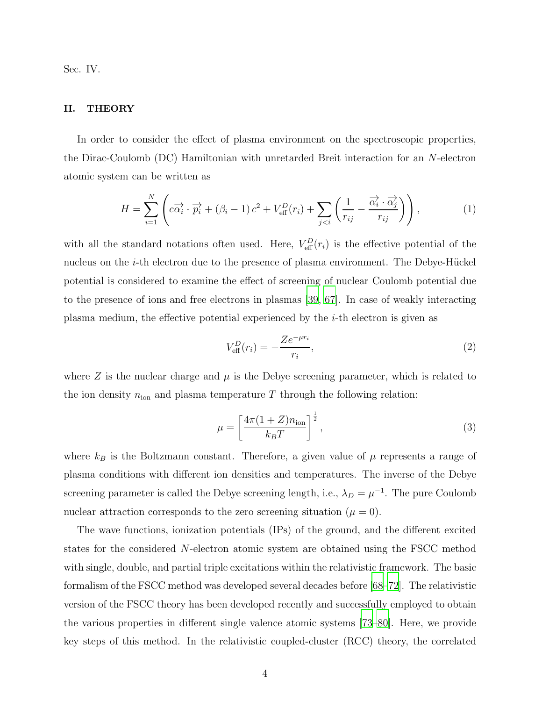Sec. IV.

#### II. THEORY

In order to consider the effect of plasma environment on the spectroscopic properties, the Dirac-Coulomb (DC) Hamiltonian with unretarded Breit interaction for an N-electron atomic system can be written as

$$
H = \sum_{i=1}^{N} \left( c\overrightarrow{\alpha_i} \cdot \overrightarrow{p_i} + (\beta_i - 1) c^2 + V_{\text{eff}}^D(r_i) + \sum_{j < i} \left( \frac{1}{r_{ij}} - \frac{\overrightarrow{\alpha_i} \cdot \overrightarrow{\alpha_j}}{r_{ij}} \right) \right),\tag{1}
$$

with all the standard notations often used. Here,  $V_{\text{eff}}^{D}(r_{i})$  is the effective potential of the nucleus on the  $i$ -th electron due to the presence of plasma environment. The Debye-Hückel potential is considered to examine the effect of screening of nuclear Coulomb potential due to the presence of ions and free electrons in plasmas [\[39,](#page-16-4) [67\]](#page-18-4). In case of weakly interacting plasma medium, the effective potential experienced by the  $i$ -th electron is given as

$$
V_{\text{eff}}^D(r_i) = -\frac{Ze^{-\mu r_i}}{r_i},\tag{2}
$$

where  $Z$  is the nuclear charge and  $\mu$  is the Debye screening parameter, which is related to the ion density  $n_{\text{ion}}$  and plasma temperature T through the following relation:

$$
\mu = \left[\frac{4\pi(1+Z)n_{\text{ion}}}{k_BT}\right]^{\frac{1}{2}},\tag{3}
$$

where  $k_B$  is the Boltzmann constant. Therefore, a given value of  $\mu$  represents a range of plasma conditions with different ion densities and temperatures. The inverse of the Debye screening parameter is called the Debye screening length, i.e.,  $\lambda_D = \mu^{-1}$ . The pure Coulomb nuclear attraction corresponds to the zero screening situation  $(\mu = 0)$ .

The wave functions, ionization potentials (IPs) of the ground, and the different excited states for the considered N-electron atomic system are obtained using the FSCC method with single, double, and partial triple excitations within the relativistic framework. The basic formalism of the FSCC method was developed several decades before [\[68](#page-18-5)[–72\]](#page-18-6). The relativistic version of the FSCC theory has been developed recently and successfully employed to obtain the various properties in different single valence atomic systems [\[73](#page-18-7)[–80\]](#page-18-8). Here, we provide key steps of this method. In the relativistic coupled-cluster (RCC) theory, the correlated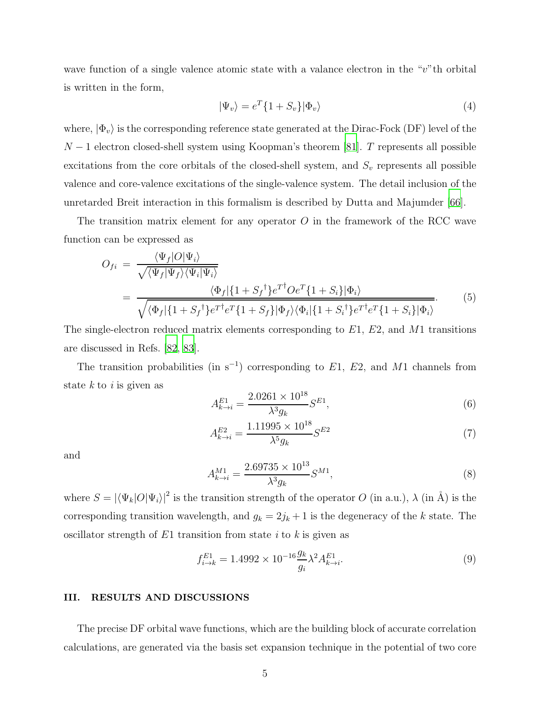wave function of a single valence atomic state with a valance electron in the "v"th orbital is written in the form,

$$
|\Psi_v\rangle = e^T \{1 + S_v\} |\Phi_v\rangle \tag{4}
$$

where,  $|\Phi_v\rangle$  is the corresponding reference state generated at the Dirac-Fock (DF) level of the  $N-1$  electron closed-shell system using Koopman's theorem [\[81\]](#page-18-9). T represents all possible excitations from the core orbitals of the closed-shell system, and  $S_v$  represents all possible valence and core-valence excitations of the single-valence system. The detail inclusion of the unretarded Breit interaction in this formalism is described by Dutta and Majumder [\[66](#page-18-3)].

The transition matrix element for any operator  $O$  in the framework of the RCC wave function can be expressed as

$$
O_{fi} = \frac{\langle \Psi_f | O | \Psi_i \rangle}{\sqrt{\langle \Psi_f | \Psi_f \rangle \langle \Psi_i | \Psi_i \rangle}}
$$
  
= 
$$
\frac{\langle \Phi_f | \{1 + S_f^{\dagger}\} e^{T^{\dagger}} O e^{T} \{1 + S_i\} | \Phi_i \rangle}{\sqrt{\langle \Phi_f | \{1 + S_f^{\dagger}\} e^{T^{\dagger}} e^{T} \{1 + S_f\} | \Phi_f \rangle \langle \Phi_i | \{1 + S_i^{\dagger}\} e^{T^{\dagger}} e^{T} \{1 + S_i\} | \Phi_i \rangle}}.
$$
(5)

The single-electron reduced matrix elements corresponding to  $E1, E2$ , and M1 transitions are discussed in Refs. [\[82](#page-19-0), [83](#page-19-1)].

The transition probabilities (in s<sup>-1</sup>) corresponding to  $E1, E2$ , and M1 channels from state  $k$  to  $i$  is given as

$$
A_{k \to i}^{E1} = \frac{2.0261 \times 10^{18}}{\lambda^3 g_k} S^{E1},\tag{6}
$$

$$
A_{k \to i}^{E2} = \frac{1.11995 \times 10^{18}}{\lambda^5 g_k} S^{E2}
$$
 (7)

and

$$
A_{k \to i}^{M1} = \frac{2.69735 \times 10^{13}}{\lambda^3 g_k} S^{M1},\tag{8}
$$

where  $S = |\langle \Psi_k|O|\Psi_i\rangle|^2$  is the transition strength of the operator O (in a.u.),  $\lambda$  (in Å) is the corresponding transition wavelength, and  $g_k = 2j_k + 1$  is the degeneracy of the k state. The oscillator strength of  $E1$  transition from state i to k is given as

$$
f_{i \to k}^{E1} = 1.4992 \times 10^{-16} \frac{g_k}{g_i} \lambda^2 A_{k \to i}^{E1}.
$$
\n(9)

#### III. RESULTS AND DISCUSSIONS

The precise DF orbital wave functions, which are the building block of accurate correlation calculations, are generated via the basis set expansion technique in the potential of two core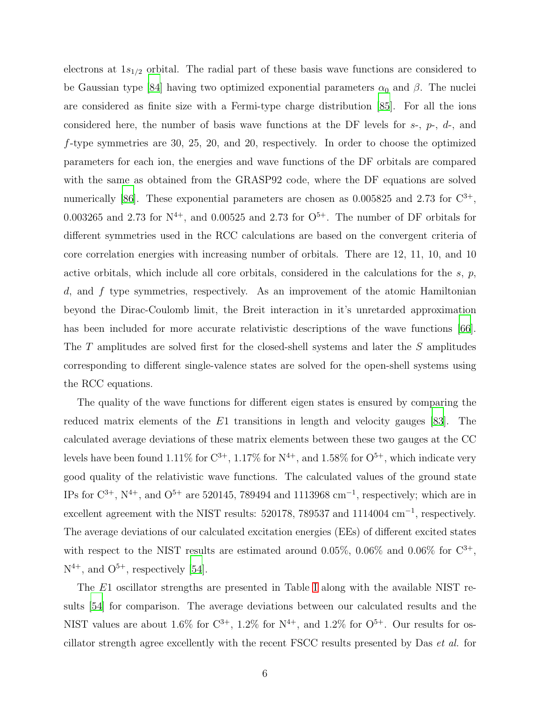electrons at  $1s_{1/2}$  orbital. The radial part of these basis wave functions are considered to be Gaussian type [\[84\]](#page-19-2) having two optimized exponential parameters  $\alpha_0$  and  $\beta$ . The nuclei are considered as finite size with a Fermi-type charge distribution [\[85\]](#page-19-3). For all the ions considered here, the number of basis wave functions at the DF levels for  $s<sub>1</sub>$ ,  $p<sub>1</sub>$ , and f-type symmetries are 30, 25, 20, and 20, respectively. In order to choose the optimized parameters for each ion, the energies and wave functions of the DF orbitals are compared with the same as obtained from the GRASP92 code, where the DF equations are solved numerically [\[86\]](#page-19-4). These exponential parameters are chosen as  $0.005825$  and  $2.73$  for  $\mathrm{C}^{3+}$ , 0.003265 and 2.73 for  $N^{4+}$ , and 0.00525 and 2.73 for  $O^{5+}$ . The number of DF orbitals for different symmetries used in the RCC calculations are based on the convergent criteria of core correlation energies with increasing number of orbitals. There are 12, 11, 10, and 10 active orbitals, which include all core orbitals, considered in the calculations for the  $s, p$ ,  $d$ , and  $f$  type symmetries, respectively. As an improvement of the atomic Hamiltonian beyond the Dirac-Coulomb limit, the Breit interaction in it's unretarded approximation has been included for more accurate relativistic descriptions of the wave functions [\[66\]](#page-18-3). The T amplitudes are solved first for the closed-shell systems and later the S amplitudes corresponding to different single-valence states are solved for the open-shell systems using the RCC equations.

The quality of the wave functions for different eigen states is ensured by comparing the reduced matrix elements of the E1 transitions in length and velocity gauges [\[83](#page-19-1)]. The calculated average deviations of these matrix elements between these two gauges at the CC levels have been found 1.11% for  $C^{3+}$ , 1.17% for  $N^{4+}$ , and 1.58% for  $O^{5+}$ , which indicate very good quality of the relativistic wave functions. The calculated values of the ground state IPs for  $\mathbb{C}^{3+}$ ,  $\mathbb{N}^{4+}$ , and  $\mathbb{O}^{5+}$  are 520145, 789494 and 1113968 cm<sup>-1</sup>, respectively; which are in excellent agreement with the NIST results: 520178, 789537 and 1114004 cm<sup>-1</sup>, respectively. The average deviations of our calculated excitation energies (EEs) of different excited states with respect to the NIST results are estimated around 0.05%, 0.06% and 0.06% for  $C^{3+}$ ,  $N^{4+}$ , and  $O^{5+}$ , respectively [\[54](#page-17-6)].

The E1 oscillator strengths are presented in Table [I](#page-7-0) along with the available NIST results [\[54](#page-17-6)] for comparison. The average deviations between our calculated results and the NIST values are about 1.6% for  $C^{3+}$ , 1.2% for  $N^{4+}$ , and 1.2% for  $O^{5+}$ . Our results for oscillator strength agree excellently with the recent FSCC results presented by Das et al. for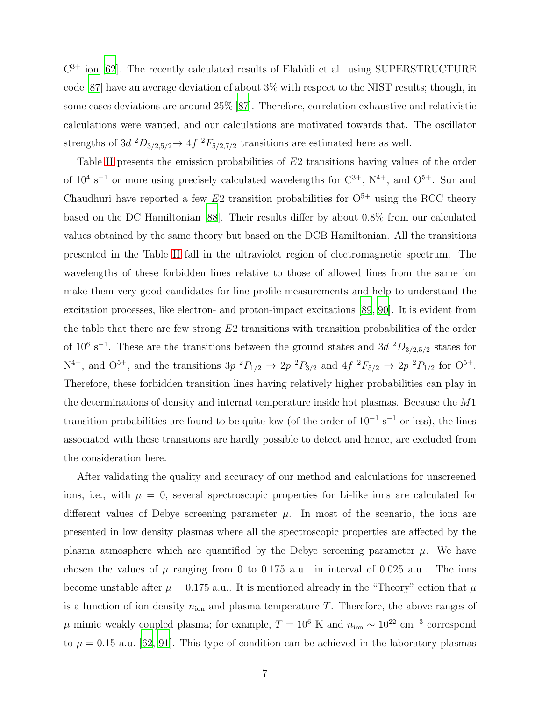$C^{3+}$  ion [\[62\]](#page-17-12). The recently calculated results of Elabidi et al. using SUPERSTRUCTURE code [\[87](#page-19-5)] have an average deviation of about 3% with respect to the NIST results; though, in some cases deviations are around 25% [\[87](#page-19-5)]. Therefore, correlation exhaustive and relativistic calculations were wanted, and our calculations are motivated towards that. The oscillator strengths of 3d  ${}^2D_{3/2,5/2} \rightarrow 4f$   ${}^2F_{5/2,7/2}$  transitions are estimated here as well.

Table [II](#page-8-0) presents the emission probabilities of E2 transitions having values of the order of  $10^4$  s<sup>-1</sup> or more using precisely calculated wavelengths for  $C^{3+}$ ,  $N^{4+}$ , and  $O^{5+}$ . Sur and Chaudhuri have reported a few  $E2$  transition probabilities for  $O<sup>5+</sup>$  using the RCC theory based on the DC Hamiltonian [\[88\]](#page-19-6). Their results differ by about 0.8% from our calculated values obtained by the same theory but based on the DCB Hamiltonian. All the transitions presented in the Table [II](#page-8-0) fall in the ultraviolet region of electromagnetic spectrum. The wavelengths of these forbidden lines relative to those of allowed lines from the same ion make them very good candidates for line profile measurements and help to understand the excitation processes, like electron- and proton-impact excitations [\[89](#page-19-7), [90\]](#page-19-8). It is evident from the table that there are few strong E2 transitions with transition probabilities of the order of 10<sup>6</sup> s<sup>-1</sup>. These are the transitions between the ground states and 3d  ${}^{2}D_{3/2,5/2}$  states for  $N^{4+}$ , and  $O^{5+}$ , and the transitions  $3p^{2}P_{1/2} \rightarrow 2p^{2}P_{3/2}$  and  $4f^{2}F_{5/2} \rightarrow 2p^{2}P_{1/2}$  for  $O^{5+}$ . Therefore, these forbidden transition lines having relatively higher probabilities can play in the determinations of density and internal temperature inside hot plasmas. Because the M1 transition probabilities are found to be quite low (of the order of  $10^{-1}$  s<sup>-1</sup> or less), the lines associated with these transitions are hardly possible to detect and hence, are excluded from the consideration here.

After validating the quality and accuracy of our method and calculations for unscreened ions, i.e., with  $\mu = 0$ , several spectroscopic properties for Li-like ions are calculated for different values of Debye screening parameter  $\mu$ . In most of the scenario, the ions are presented in low density plasmas where all the spectroscopic properties are affected by the plasma atmosphere which are quantified by the Debye screening parameter  $\mu$ . We have chosen the values of  $\mu$  ranging from 0 to 0.175 a.u. in interval of 0.025 a.u.. The ions become unstable after  $\mu = 0.175$  a.u.. It is mentioned already in the "Theory" ection that  $\mu$ is a function of ion density  $n_{\text{ion}}$  and plasma temperature T. Therefore, the above ranges of  $\mu$  mimic weakly coupled plasma; for example,  $T = 10^6$  K and  $n_{\text{ion}} \sim 10^{22}$  cm<sup>-3</sup> correspond to  $\mu = 0.15$  a.u. [\[62](#page-17-12), [91](#page-19-9)]. This type of condition can be achieved in the laboratory plasmas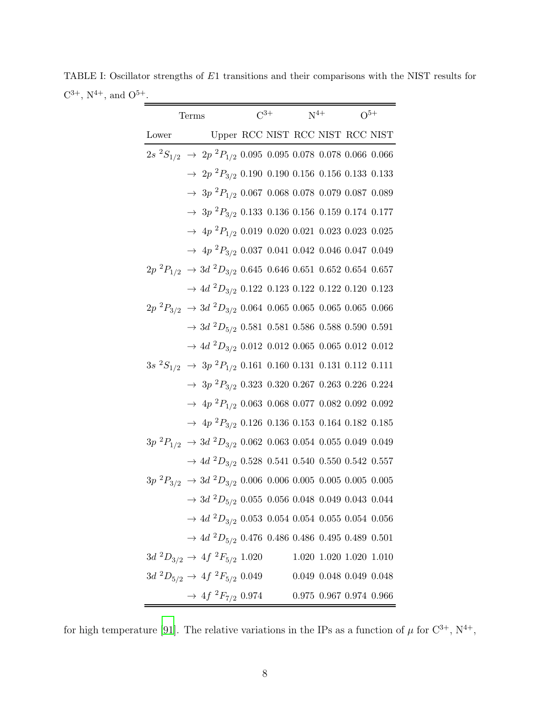TABLE I: Oscillator strengths of E1 transitions and their comparisons with the NIST results for  $C^{3+}$ ,  $N^{4+}$ , and  $O^{5+}$ .

<span id="page-7-0"></span>

| <b>Terms</b> |                                                                                     |  |  | $C^{3+}$ $N^{4+}$ $Q^{5+}$ |                                 |  |  |
|--------------|-------------------------------------------------------------------------------------|--|--|----------------------------|---------------------------------|--|--|
| Lower        | Upper RCC NIST RCC NIST RCC NIST                                                    |  |  |                            |                                 |  |  |
|              | $2s~^{2}S_{1/2}$ $\rightarrow$ $2p~^{2}P_{1/2}$ 0.095 0.095 0.078 0.078 0.066 0.066 |  |  |                            |                                 |  |  |
|              | $\rightarrow$ 2p <sup>2</sup> P <sub>3/2</sub> 0.190 0.190 0.156 0.156 0.133 0.133  |  |  |                            |                                 |  |  |
|              | $\rightarrow$ 3p <sup>2</sup> P <sub>1/2</sub> 0.067 0.068 0.078 0.079 0.087 0.089  |  |  |                            |                                 |  |  |
|              | $\rightarrow$ 3p <sup>2</sup> P <sub>3/2</sub> 0.133 0.136 0.156 0.159 0.174 0.177  |  |  |                            |                                 |  |  |
|              | $\rightarrow$ 4p ${}^{2}P_{1/2}$ 0.019 0.020 0.021 0.023 0.023 0.025                |  |  |                            |                                 |  |  |
|              | $\rightarrow$ 4p <sup>2</sup> P <sub>3/2</sub> 0.037 0.041 0.042 0.046 0.047 0.049  |  |  |                            |                                 |  |  |
|              | $2p \ ^2P_{1/2} \ \rightarrow 3d \ ^2D_{3/2}$ 0.645 0.646 0.651 0.652 0.654 0.657   |  |  |                            |                                 |  |  |
|              | $\rightarrow$ 4d $^2D_{3/2}$ 0.122 0.123 0.122 0.122 0.120 0.123                    |  |  |                            |                                 |  |  |
|              | $2p~^2P_{3/2} \rightarrow 3d~^2D_{3/2}$ 0.064 0.065 0.065 0.065 0.065 0.066         |  |  |                            |                                 |  |  |
|              | $\rightarrow$ 3d $^2D_{5/2}$ 0.581 0.581 0.586 0.588 0.590 0.591                    |  |  |                            |                                 |  |  |
|              | $\rightarrow$ 4d $^2D_{3/2}$ 0.012 0.012 0.065 0.065 0.012 0.012                    |  |  |                            |                                 |  |  |
|              | $3s~^2S_{1/2} \rightarrow 3p~^2P_{1/2}$ 0.161 0.160 0.131 0.131 0.112 0.111         |  |  |                            |                                 |  |  |
|              | $\rightarrow$ 3p <sup>2</sup> P <sub>3/2</sub> 0.323 0.320 0.267 0.263 0.226 0.224  |  |  |                            |                                 |  |  |
|              | $\rightarrow$ 4p <sup>2</sup> $P_{1/2}$ 0.063 0.068 0.077 0.082 0.092 0.092         |  |  |                            |                                 |  |  |
|              | $\rightarrow$ 4p <sup>2</sup> P <sub>3/2</sub> 0.126 0.136 0.153 0.164 0.182 0.185  |  |  |                            |                                 |  |  |
|              | $3p~^2P_{1/2} \rightarrow 3d~^2D_{3/2}$ 0.062 0.063 0.054 0.055 0.049 0.049         |  |  |                            |                                 |  |  |
|              | $\rightarrow$ 4d $^2D_{3/2}$ 0.528 0.541 0.540 0.550 0.542 0.557                    |  |  |                            |                                 |  |  |
|              | $3p~^2P_{3/2} \rightarrow 3d~^2D_{3/2}$ 0.006 0.006 0.005 0.005 0.005 0.005         |  |  |                            |                                 |  |  |
|              | $\rightarrow$ 3d $^2D_{5/2}$ 0.055 0.056 0.048 0.049 0.043 0.044                    |  |  |                            |                                 |  |  |
|              | $\rightarrow$ 4d $^2D_{3/2}$ 0.053 0.054 0.054 0.055 0.054 0.056                    |  |  |                            |                                 |  |  |
|              | $\rightarrow$ $4d$ $^2D_{5/2}$ 0.476 0.486 0.486 0.495 0.489 0.501                  |  |  |                            |                                 |  |  |
|              | $3d~^2D_{3/2} \rightarrow 4f~^2F_{5/2}$ 1.020                                       |  |  |                            | 1.020 1.020 1.020 1.010         |  |  |
|              | $3d~^2D_{5/2} \rightarrow 4f~^2F_{5/2}$ 0.049                                       |  |  |                            | $0.049$ $0.048$ $0.049$ $0.048$ |  |  |
|              | $\rightarrow 4f~^2F_{7/2}~0.974$                                                    |  |  |                            | $0.975$ $0.967$ $0.974$ $0.966$ |  |  |

for high temperature [\[91](#page-19-9)]. The relative variations in the IPs as a function of  $\mu$  for  $\mathrm{C}^{3+}$ ,  $\mathrm{N}^{4+}$ ,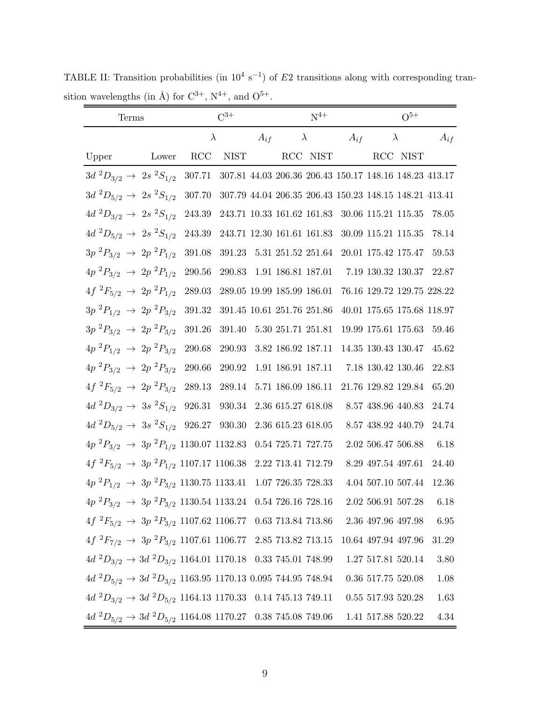TABLE II: Transition probabilities (in  $10^4 \text{ s}^{-1}$ ) of E2 transitions along with corresponding transition wavelengths (in Å) for  ${\rm C}^{3+},$   ${\rm N}^{4+},$  and  ${\rm O}^{5+}.$ 

<span id="page-8-0"></span>

| Terms                                                                                         | $C^{3+}$   |             | $N^{4+}$ |                            |                            | $O^{5+}$ |                                                               |  |          |
|-----------------------------------------------------------------------------------------------|------------|-------------|----------|----------------------------|----------------------------|----------|---------------------------------------------------------------|--|----------|
|                                                                                               |            | $\lambda$   | $A_{if}$ |                            | $\lambda$                  | $A_{if}$ | $\lambda$                                                     |  | $A_{if}$ |
| Lower<br>Upper                                                                                | RCC        | <b>NIST</b> |          |                            | RCC NIST                   |          | RCC NIST                                                      |  |          |
| $3d~^2D_{3/2} \rightarrow 2s~^2S_{1/2}$                                                       |            |             |          |                            |                            |          | 307.71 307.81 44.03 206.36 206.43 150.17 148.16 148.23 413.17 |  |          |
| $3d~^2D_{5/2} \rightarrow 2s~^2S_{1/2}$                                                       | 307.70     |             |          |                            |                            |          | 307.79 44.04 206.35 206.43 150.23 148.15 148.21 413.41        |  |          |
| $4d~^2D_{3/2} \rightarrow 2s~^2S_{1/2}$                                                       | 243.39     |             |          |                            | 243.71 10.33 161.62 161.83 |          | 30.06 115.21 115.35                                           |  | 78.05    |
| $4d~^2D_{5/2} \rightarrow 2s~^2S_{1/2}$                                                       | 243.39     |             |          |                            | 243.71 12.30 161.61 161.83 |          | 30.09 115.21 115.35                                           |  | 78.14    |
| $3p~^2P_{3/2} \rightarrow 2p~^2P_{1/2}$                                                       | 391.08     |             |          |                            | 391.23 5.31 251.52 251.64  |          | 20.01 175.42 175.47                                           |  | 59.53    |
| $4p~^2P_{3/2} \rightarrow 2p~^2P_{1/2}$                                                       | $290.56\,$ |             |          | 290.83 1.91 186.81 187.01  |                            |          | 7.19 130.32 130.37 22.87                                      |  |          |
| $4f~^2F_{5/2}~\rightarrow~2p~^2P_{1/2}$                                                       | 289.03     |             |          | 289.05 19.99 185.99 186.01 |                            |          | 76.16 129.72 129.75 228.22                                    |  |          |
| $3p~^2P_{1/2} \rightarrow 2p~^2P_{3/2}$                                                       | 391.32     |             |          | 391.45 10.61 251.76 251.86 |                            |          | 40.01 175.65 175.68 118.97                                    |  |          |
| $3p~^2P_{3/2} \rightarrow 2p~^2P_{3/2}$                                                       | 391.26     | 391.40      |          | 5.30 251.71 251.81         |                            |          | 19.99 175.61 175.63                                           |  | 59.46    |
| $4p~^2P_{1/2}~\rightarrow~2p~^2P_{3/2}$                                                       | 290.68     |             |          | 290.93 3.82 186.92 187.11  |                            |          | 14.35 130.43 130.47                                           |  | 45.62    |
| $4p~^2P_{3/2} \rightarrow 2p~^2P_{3/2}$                                                       | 290.66     | 290.92      |          | 1.91 186.91 187.11         |                            |          | $7.18\ 130.42\ 130.46$                                        |  | 22.83    |
| $4f~^2F_{5/2}~\rightarrow~2p~^2P_{3/2}$                                                       | 289.13     | 289.14      |          | 5.71 186.09 186.11         |                            |          | 21.76 129.82 129.84                                           |  | 65.20    |
| $4d^2D_{3/2} \rightarrow 3s^2S_{1/2}$ 926.31 930.34                                           |            |             |          | 2.36 615.27 618.08         |                            |          | 8.57 438.96 440.83                                            |  | 24.74    |
| $4d^2D_{5/2} \rightarrow 3s^2S_{1/2}$ 926.27 930.30                                           |            |             |          | 2.36 615.23 618.05         |                            |          | $8.57\ 438.92\ 440.79$                                        |  | 24.74    |
| $4p~^2P_{3/2} \rightarrow 3p~^2P_{1/2}$ 1130.07 1132.83 0.54 725.71 727.75                    |            |             |          |                            |                            |          | 2.02 506.47 506.88                                            |  | 6.18     |
| $4f^{2}F_{5/2} \rightarrow 3p^{2}P_{1/2}$ 1107.17 1106.38 2.22 713.41 712.79                  |            |             |          |                            |                            |          | 8.29 497.54 497.61                                            |  | 24.40    |
| $4p~^2P_{1/2} \rightarrow 3p~^2P_{3/2}$ 1130.75 1133.41 1.07 726.35 728.33                    |            |             |          |                            |                            |          | $4.04\ 507.10\ 507.44$                                        |  | 12.36    |
| $4p~^2P_{3/2} \rightarrow 3p~^2P_{3/2}$ 1130.54 1133.24 0.54 726.16 728.16 2.02 506.91 507.28 |            |             |          |                            |                            |          |                                                               |  | 6.18     |
| $4f~^2F_{5/2} \rightarrow 3p~^2P_{3/2}$ 1107.62 1106.77 0.63 713.84 713.86                    |            |             |          |                            |                            |          | 2.36 497.96 497.98                                            |  | 6.95     |
| $4f^2F_{7/2} \rightarrow 3p^2P_{3/2}$ 1107.61 1106.77 2.85 713.82 713.15                      |            |             |          |                            |                            |          | 10.64 497.94 497.96                                           |  | 31.29    |
| $4d~^2D_{3/2} \rightarrow 3d~^2D_{3/2}$ 1164.01 1170.18 0.33 745.01 748.99                    |            |             |          |                            |                            |          | 1.27 517.81 520.14                                            |  | $3.80\,$ |
| $4d~^2D_{5/2} \rightarrow 3d~^2D_{3/2}$ 1163.95 1170.13 0.095 744.95 748.94                   |            |             |          |                            |                            |          | 0.36 517.75 520.08                                            |  | $1.08\,$ |
| $4d^2D_{3/2} \rightarrow 3d^2D_{5/2}$ 1164.13 1170.33 0.14 745.13 749.11                      |            |             |          |                            |                            |          | $0.55$ 517.93 520.28                                          |  | 1.63     |
| $4d~^2D_{5/2} \rightarrow 3d~^2D_{5/2}$ 1164.08 1170.27     0.38 745.08 749.06                |            |             |          |                            |                            |          | 1.41 517.88 520.22                                            |  | 4.34     |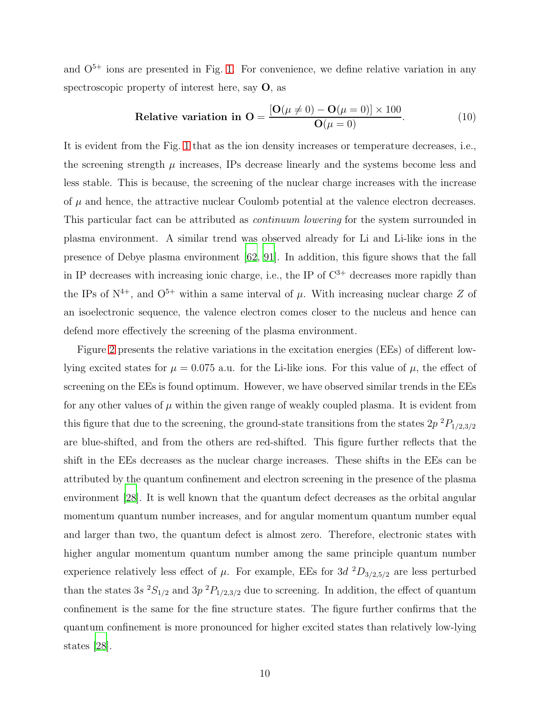and  $O<sup>5+</sup>$  ions are presented in Fig. [1.](#page-10-0) For convenience, we define relative variation in any spectroscopic property of interest here, say  $O$ , as

Relative variation in 
$$
\mathbf{O} = \frac{[\mathbf{O}(\mu \neq 0) - \mathbf{O}(\mu = 0)] \times 100}{\mathbf{O}(\mu = 0)}.
$$
 (10)

It is evident from the Fig. [1](#page-10-0) that as the ion density increases or temperature decreases, i.e., the screening strength  $\mu$  increases, IPs decrease linearly and the systems become less and less stable. This is because, the screening of the nuclear charge increases with the increase of  $\mu$  and hence, the attractive nuclear Coulomb potential at the valence electron decreases. This particular fact can be attributed as continuum lowering for the system surrounded in plasma environment. A similar trend was observed already for Li and Li-like ions in the presence of Debye plasma environment [\[62,](#page-17-12) [91\]](#page-19-9). In addition, this figure shows that the fall in IP decreases with increasing ionic charge, i.e., the IP of  $C^{3+}$  decreases more rapidly than the IPs of  $N^{4+}$ , and  $O^{5+}$  within a same interval of  $\mu$ . With increasing nuclear charge Z of an isoelectronic sequence, the valence electron comes closer to the nucleus and hence can defend more effectively the screening of the plasma environment.

Figure [2](#page-11-0) presents the relative variations in the excitation energies (EEs) of different lowlying excited states for  $\mu = 0.075$  a.u. for the Li-like ions. For this value of  $\mu$ , the effect of screening on the EEs is found optimum. However, we have observed similar trends in the EEs for any other values of  $\mu$  within the given range of weakly coupled plasma. It is evident from this figure that due to the screening, the ground-state transitions from the states  $2p^{2}P_{1/2,3/2}$ are blue-shifted, and from the others are red-shifted. This figure further reflects that the shift in the EEs decreases as the nuclear charge increases. These shifts in the EEs can be attributed by the quantum confinement and electron screening in the presence of the plasma environment [\[28\]](#page-16-12). It is well known that the quantum defect decreases as the orbital angular momentum quantum number increases, and for angular momentum quantum number equal and larger than two, the quantum defect is almost zero. Therefore, electronic states with higher angular momentum quantum number among the same principle quantum number experience relatively less effect of  $\mu$ . For example, EEs for 3d  ${}^{2}D_{3/2,5/2}$  are less perturbed than the states 3s  ${}^{2}S_{1/2}$  and 3p  ${}^{2}P_{1/2,3/2}$  due to screening. In addition, the effect of quantum confinement is the same for the fine structure states. The figure further confirms that the quantum confinement is more pronounced for higher excited states than relatively low-lying states [\[28](#page-16-12)].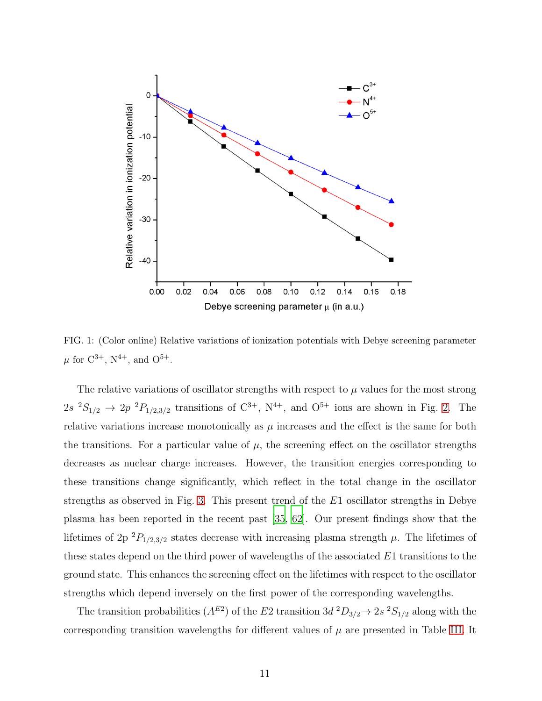

<span id="page-10-0"></span>FIG. 1: (Color online) Relative variations of ionization potentials with Debye screening parameter  $\mu$  for C<sup>3+</sup>, N<sup>4+</sup>, and O<sup>5+</sup>.

The relative variations of oscillator strengths with respect to  $\mu$  values for the most strong  $2s \ ^2S_{1/2} \rightarrow 2p \ ^2P_{1/2,3/2}$  transitions of  $C^{3+}$ ,  $N^{4+}$ , and  $O^{5+}$  ions are shown in Fig. [2.](#page-11-0) The relative variations increase monotonically as  $\mu$  increases and the effect is the same for both the transitions. For a particular value of  $\mu$ , the screening effect on the oscillator strengths decreases as nuclear charge increases. However, the transition energies corresponding to these transitions change significantly, which reflect in the total change in the oscillator strengths as observed in Fig. [3.](#page-11-1) This present trend of the  $E1$  oscillator strengths in Debye plasma has been reported in the recent past [\[35](#page-16-0), [62\]](#page-17-12). Our present findings show that the lifetimes of 2p  ${}^{2}P_{1/2,3/2}$  states decrease with increasing plasma strength  $\mu$ . The lifetimes of these states depend on the third power of wavelengths of the associated E1 transitions to the ground state. This enhances the screening effect on the lifetimes with respect to the oscillator strengths which depend inversely on the first power of the corresponding wavelengths.

The transition probabilities  $(A^{E2})$  of the E2 transition  $3d^2D_{3/2} \rightarrow 2s^2S_{1/2}$  along with the corresponding transition wavelengths for different values of  $\mu$  are presented in Table [III.](#page-12-0) It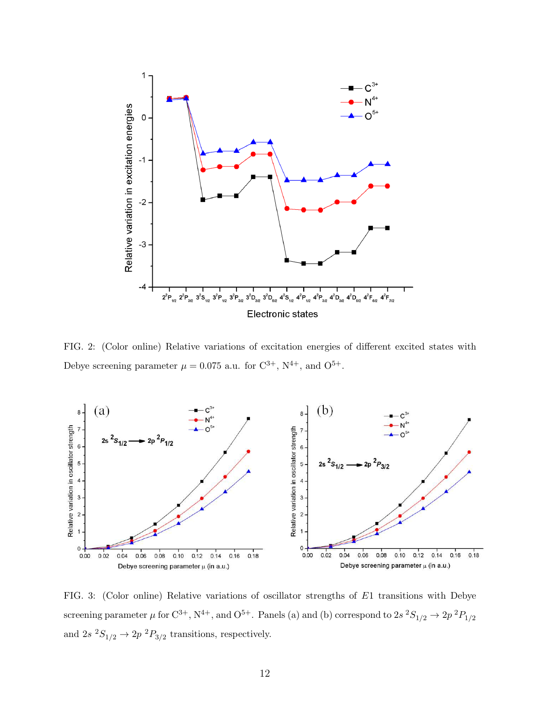

<span id="page-11-0"></span>FIG. 2: (Color online) Relative variations of excitation energies of different excited states with Debye screening parameter  $\mu = 0.075$  a.u. for  $C^{3+}$ ,  $N^{4+}$ , and  $O^{5+}$ .



<span id="page-11-1"></span>FIG. 3: (Color online) Relative variations of oscillator strengths of E1 transitions with Debye screening parameter  $\mu$  for  $C^{3+}$ ,  $N^{4+}$ , and  $O^{5+}$ . Panels (a) and (b) correspond to  $2s$   $^2S_{1/2} \rightarrow 2p$   $^2P_{1/2}$ and  $2s \frac{2S_{1/2}}{S_2} \rightarrow 2p \frac{2P_{3/2}}{S_2}$  transitions, respectively.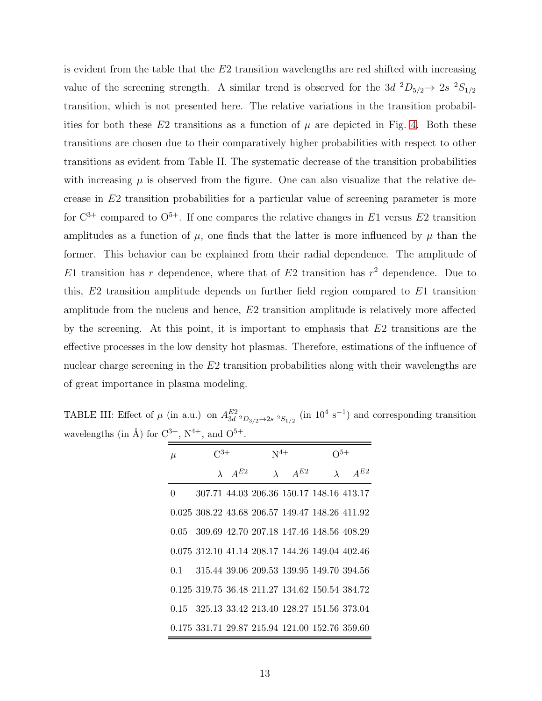is evident from the table that the  $E2$  transition wavelengths are red shifted with increasing value of the screening strength. A similar trend is observed for the 3d  ${}^2D_{5/2} \rightarrow 2s$   ${}^2S_{1/2}$ transition, which is not presented here. The relative variations in the transition probabilities for both these E2 transitions as a function of  $\mu$  are depicted in Fig. [4.](#page-13-0) Both these transitions are chosen due to their comparatively higher probabilities with respect to other transitions as evident from Table II. The systematic decrease of the transition probabilities with increasing  $\mu$  is observed from the figure. One can also visualize that the relative decrease in E2 transition probabilities for a particular value of screening parameter is more for  $\mathbb{C}^{3+}$  compared to  $\mathbb{O}^{5+}$ . If one compares the relative changes in E1 versus E2 transition amplitudes as a function of  $\mu$ , one finds that the latter is more influenced by  $\mu$  than the former. This behavior can be explained from their radial dependence. The amplitude of E1 transition has r dependence, where that of E2 transition has  $r^2$  dependence. Due to this, E2 transition amplitude depends on further field region compared to E1 transition amplitude from the nucleus and hence, E2 transition amplitude is relatively more affected by the screening. At this point, it is important to emphasis that  $E_2$  transitions are the effective processes in the low density hot plasmas. Therefore, estimations of the influence of nuclear charge screening in the E2 transition probabilities along with their wavelengths are of great importance in plasma modeling.

TABLE III: Effect of  $\mu$  (in a.u.) on  $A_{3d-2D_{3/2}\rightarrow 2s-2S_{1/2}}^{E2}$  (in  $10^4$  s<sup>-1</sup>) and corresponding transition wavelengths (in Å) for  $C^{3+}$ ,  $N^{4+}$ , and  $O^{5+}$ .

<span id="page-12-0"></span>

| $\mu$ | $\rm C^{3+}$                                   |                    | $N^{4+}$                                 |                        | $\Omega^{5+}$ |                        |  |
|-------|------------------------------------------------|--------------------|------------------------------------------|------------------------|---------------|------------------------|--|
|       |                                                | $\lambda$ $A^{E2}$ |                                          | $\lambda \quad A^{E2}$ |               | $\lambda \quad A^{E2}$ |  |
| 0     |                                                |                    | 307.71 44.03 206.36 150.17 148.16 413.17 |                        |               |                        |  |
|       | 0.025 308.22 43.68 206.57 149.47 148.26 411.92 |                    |                                          |                        |               |                        |  |
|       | 0.05 309.69 42.70 207.18 147.46 148.56 408.29  |                    |                                          |                        |               |                        |  |
|       | 0.075 312.10 41.14 208.17 144.26 149.04 402.46 |                    |                                          |                        |               |                        |  |
|       | 0.1 315.44 39.06 209.53 139.95 149.70 394.56   |                    |                                          |                        |               |                        |  |
|       | 0.125 319.75 36.48 211.27 134.62 150.54 384.72 |                    |                                          |                        |               |                        |  |
|       | 0.15 325.13 33.42 213.40 128.27 151.56 373.04  |                    |                                          |                        |               |                        |  |
|       | 0.175 331.71 29.87 215.94 121.00 152.76 359.60 |                    |                                          |                        |               |                        |  |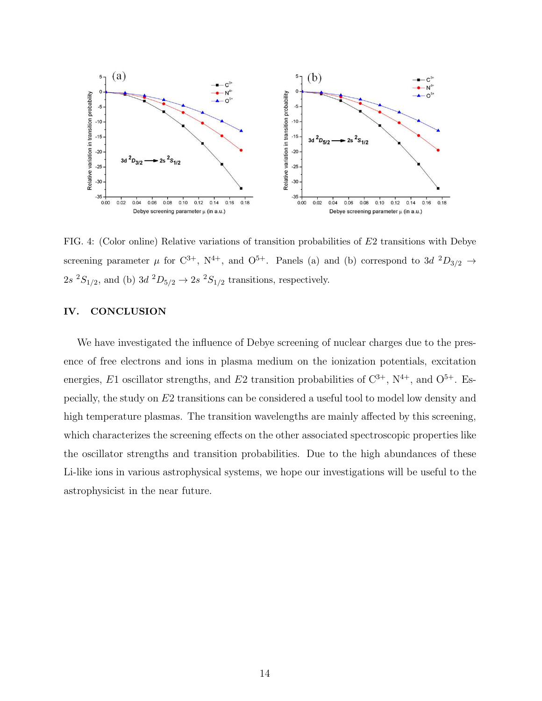

<span id="page-13-0"></span>FIG. 4: (Color online) Relative variations of transition probabilities of E2 transitions with Debye screening parameter  $\mu$  for  $C^{3+}$ ,  $N^{4+}$ , and  $O^{5+}$ . Panels (a) and (b) correspond to 3d  $^2D_{3/2} \rightarrow$  $2s\ ^2S_{1/2}$ , and (b)  $3d\ ^2D_{5/2} \rightarrow 2s\ ^2S_{1/2}$  transitions, respectively.

## IV. CONCLUSION

We have investigated the influence of Debye screening of nuclear charges due to the presence of free electrons and ions in plasma medium on the ionization potentials, excitation energies, E1 oscillator strengths, and E2 transition probabilities of  $C^{3+}$ ,  $N^{4+}$ , and  $O^{5+}$ . Especially, the study on E2 transitions can be considered a useful tool to model low density and high temperature plasmas. The transition wavelengths are mainly affected by this screening, which characterizes the screening effects on the other associated spectroscopic properties like the oscillator strengths and transition probabilities. Due to the high abundances of these Li-like ions in various astrophysical systems, we hope our investigations will be useful to the astrophysicist in the near future.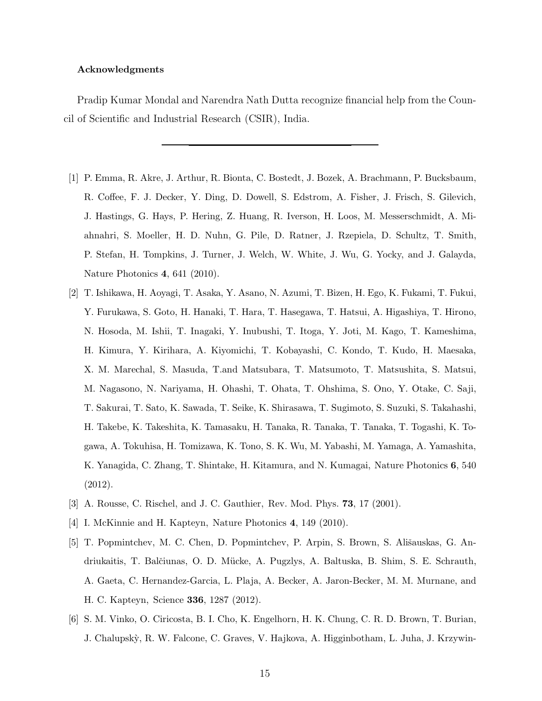#### Acknowledgments

Pradip Kumar Mondal and Narendra Nath Dutta recognize financial help from the Council of Scientific and Industrial Research (CSIR), India.

- <span id="page-14-0"></span>[1] P. Emma, R. Akre, J. Arthur, R. Bionta, C. Bostedt, J. Bozek, A. Brachmann, P. Bucksbaum, R. Coffee, F. J. Decker, Y. Ding, D. Dowell, S. Edstrom, A. Fisher, J. Frisch, S. Gilevich, J. Hastings, G. Hays, P. Hering, Z. Huang, R. Iverson, H. Loos, M. Messerschmidt, A. Miahnahri, S. Moeller, H. D. Nuhn, G. Pile, D. Ratner, J. Rzepiela, D. Schultz, T. Smith, P. Stefan, H. Tompkins, J. Turner, J. Welch, W. White, J. Wu, G. Yocky, and J. Galayda, Nature Photonics 4, 641 (2010).
- <span id="page-14-1"></span>[2] T. Ishikawa, H. Aoyagi, T. Asaka, Y. Asano, N. Azumi, T. Bizen, H. Ego, K. Fukami, T. Fukui, Y. Furukawa, S. Goto, H. Hanaki, T. Hara, T. Hasegawa, T. Hatsui, A. Higashiya, T. Hirono, N. Hosoda, M. Ishii, T. Inagaki, Y. Inubushi, T. Itoga, Y. Joti, M. Kago, T. Kameshima, H. Kimura, Y. Kirihara, A. Kiyomichi, T. Kobayashi, C. Kondo, T. Kudo, H. Maesaka, X. M. Marechal, S. Masuda, T.and Matsubara, T. Matsumoto, T. Matsushita, S. Matsui, M. Nagasono, N. Nariyama, H. Ohashi, T. Ohata, T. Ohshima, S. Ono, Y. Otake, C. Saji, T. Sakurai, T. Sato, K. Sawada, T. Seike, K. Shirasawa, T. Sugimoto, S. Suzuki, S. Takahashi, H. Takebe, K. Takeshita, K. Tamasaku, H. Tanaka, R. Tanaka, T. Tanaka, T. Togashi, K. Togawa, A. Tokuhisa, H. Tomizawa, K. Tono, S. K. Wu, M. Yabashi, M. Yamaga, A. Yamashita, K. Yanagida, C. Zhang, T. Shintake, H. Kitamura, and N. Kumagai, Nature Photonics 6, 540 (2012).
- <span id="page-14-2"></span>[3] A. Rousse, C. Rischel, and J. C. Gauthier, Rev. Mod. Phys. 73, 17 (2001).
- <span id="page-14-3"></span>[4] I. McKinnie and H. Kapteyn, Nature Photonics 4, 149 (2010).
- <span id="page-14-4"></span>[5] T. Popmintchev, M. C. Chen, D. Popmintchev, P. Arpin, S. Brown, S. Ališauskas, G. Andriukaitis, T. Balčiunas, O. D. Mücke, A. Pugzlys, A. Baltuska, B. Shim, S. E. Schrauth, A. Gaeta, C. Hernandez-Garcia, L. Plaja, A. Becker, A. Jaron-Becker, M. M. Murnane, and H. C. Kapteyn, Science 336, 1287 (2012).
- <span id="page-14-5"></span>[6] S. M. Vinko, O. Ciricosta, B. I. Cho, K. Engelhorn, H. K. Chung, C. R. D. Brown, T. Burian, J. Chalupsk`y, R. W. Falcone, C. Graves, V. Hajkova, A. Higginbotham, L. Juha, J. Krzywin-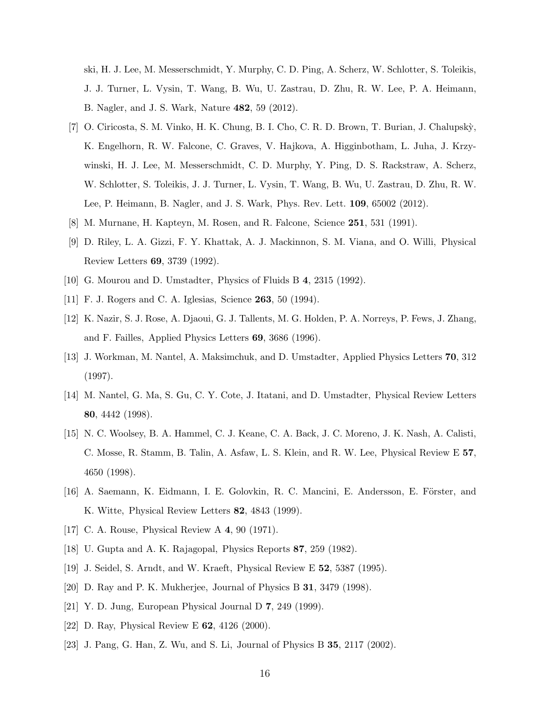ski, H. J. Lee, M. Messerschmidt, Y. Murphy, C. D. Ping, A. Scherz, W. Schlotter, S. Toleikis, J. J. Turner, L. Vysin, T. Wang, B. Wu, U. Zastrau, D. Zhu, R. W. Lee, P. A. Heimann, B. Nagler, and J. S. Wark, Nature 482, 59 (2012).

- <span id="page-15-0"></span>[7] O. Ciricosta, S. M. Vinko, H. K. Chung, B. I. Cho, C. R. D. Brown, T. Burian, J. Chalupsk`y, K. Engelhorn, R. W. Falcone, C. Graves, V. Hajkova, A. Higginbotham, L. Juha, J. Krzywinski, H. J. Lee, M. Messerschmidt, C. D. Murphy, Y. Ping, D. S. Rackstraw, A. Scherz, W. Schlotter, S. Toleikis, J. J. Turner, L. Vysin, T. Wang, B. Wu, U. Zastrau, D. Zhu, R. W. Lee, P. Heimann, B. Nagler, and J. S. Wark, Phys. Rev. Lett. 109, 65002 (2012).
- [8] M. Murnane, H. Kapteyn, M. Rosen, and R. Falcone, Science 251, 531 (1991).
- [9] D. Riley, L. A. Gizzi, F. Y. Khattak, A. J. Mackinnon, S. M. Viana, and O. Willi, Physical Review Letters 69, 3739 (1992).
- [10] G. Mourou and D. Umstadter, Physics of Fluids B 4, 2315 (1992).
- [11] F. J. Rogers and C. A. Iglesias, Science **263**, 50 (1994).
- [12] K. Nazir, S. J. Rose, A. Djaoui, G. J. Tallents, M. G. Holden, P. A. Norreys, P. Fews, J. Zhang, and F. Failles, Applied Physics Letters 69, 3686 (1996).
- [13] J. Workman, M. Nantel, A. Maksimchuk, and D. Umstadter, Applied Physics Letters 70, 312 (1997).
- [14] M. Nantel, G. Ma, S. Gu, C. Y. Cote, J. Itatani, and D. Umstadter, Physical Review Letters 80, 4442 (1998).
- [15] N. C. Woolsey, B. A. Hammel, C. J. Keane, C. A. Back, J. C. Moreno, J. K. Nash, A. Calisti, C. Mosse, R. Stamm, B. Talin, A. Asfaw, L. S. Klein, and R. W. Lee, Physical Review E 57, 4650 (1998).
- <span id="page-15-1"></span>[16] A. Saemann, K. Eidmann, I. E. Golovkin, R. C. Mancini, E. Andersson, E. Förster, and K. Witte, Physical Review Letters 82, 4843 (1999).
- <span id="page-15-2"></span>[17] C. A. Rouse, Physical Review A 4, 90 (1971).
- [18] U. Gupta and A. K. Rajagopal, Physics Reports 87, 259 (1982).
- [19] J. Seidel, S. Arndt, and W. Kraeft, Physical Review E 52, 5387 (1995).
- [20] D. Ray and P. K. Mukherjee, Journal of Physics B 31, 3479 (1998).
- [21] Y. D. Jung, European Physical Journal D 7, 249 (1999).
- <span id="page-15-3"></span>[22] D. Ray, Physical Review E 62, 4126 (2000).
- [23] J. Pang, G. Han, Z. Wu, and S. Li, Journal of Physics B 35, 2117 (2002).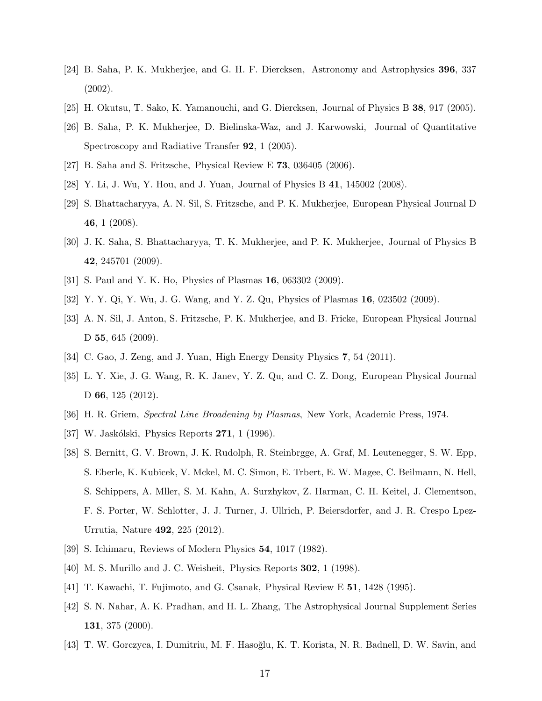- <span id="page-16-9"></span>[24] B. Saha, P. K. Mukherjee, and G. H. F. Diercksen, Astronomy and Astrophysics 396, 337 (2002).
- [25] H. Okutsu, T. Sako, K. Yamanouchi, and G. Diercksen, Journal of Physics B 38, 917 (2005).
- [26] B. Saha, P. K. Mukherjee, D. Bielinska-Waz, and J. Karwowski, Journal of Quantitative Spectroscopy and Radiative Transfer 92, 1 (2005).
- <span id="page-16-12"></span><span id="page-16-11"></span>[27] B. Saha and S. Fritzsche, Physical Review E 73, 036405 (2006).
- <span id="page-16-10"></span>[28] Y. Li, J. Wu, Y. Hou, and J. Yuan, Journal of Physics B 41, 145002 (2008).
- [29] S. Bhattacharyya, A. N. Sil, S. Fritzsche, and P. K. Mukherjee, European Physical Journal D 46, 1 (2008).
- [30] J. K. Saha, S. Bhattacharyya, T. K. Mukherjee, and P. K. Mukherjee, Journal of Physics B 42, 245701 (2009).
- [31] S. Paul and Y. K. Ho, Physics of Plasmas 16, 063302 (2009).
- [32] Y. Y. Qi, Y. Wu, J. G. Wang, and Y. Z. Qu, Physics of Plasmas 16, 023502 (2009).
- [33] A. N. Sil, J. Anton, S. Fritzsche, P. K. Mukherjee, and B. Fricke, European Physical Journal D 55, 645 (2009).
- <span id="page-16-0"></span>[34] C. Gao, J. Zeng, and J. Yuan, High Energy Density Physics 7, 54 (2011).
- [35] L. Y. Xie, J. G. Wang, R. K. Janev, Y. Z. Qu, and C. Z. Dong, European Physical Journal D 66, 125 (2012).
- <span id="page-16-1"></span>[36] H. R. Griem, Spectral Line Broadening by Plasmas, New York, Academic Press, 1974.
- <span id="page-16-3"></span><span id="page-16-2"></span>[37] W. Jaskólski, Physics Reports 271, 1 (1996).
- [38] S. Bernitt, G. V. Brown, J. K. Rudolph, R. Steinbrgge, A. Graf, M. Leutenegger, S. W. Epp, S. Eberle, K. Kubicek, V. Mckel, M. C. Simon, E. Trbert, E. W. Magee, C. Beilmann, N. Hell, S. Schippers, A. Mller, S. M. Kahn, A. Surzhykov, Z. Harman, C. H. Keitel, J. Clementson, F. S. Porter, W. Schlotter, J. J. Turner, J. Ullrich, P. Beiersdorfer, and J. R. Crespo Lpez-Urrutia, Nature 492, 225 (2012).
- <span id="page-16-4"></span>[39] S. Ichimaru, Reviews of Modern Physics 54, 1017 (1982).
- <span id="page-16-5"></span>[40] M. S. Murillo and J. C. Weisheit, Physics Reports 302, 1 (1998).
- <span id="page-16-6"></span>[41] T. Kawachi, T. Fujimoto, and G. Csanak, Physical Review E 51, 1428 (1995).
- <span id="page-16-7"></span>[42] S. N. Nahar, A. K. Pradhan, and H. L. Zhang, The Astrophysical Journal Supplement Series 131, 375 (2000).
- <span id="page-16-8"></span>[43] T. W. Gorczyca, I. Dumitriu, M. F. Hasoğlu, K. T. Korista, N. R. Badnell, D. W. Savin, and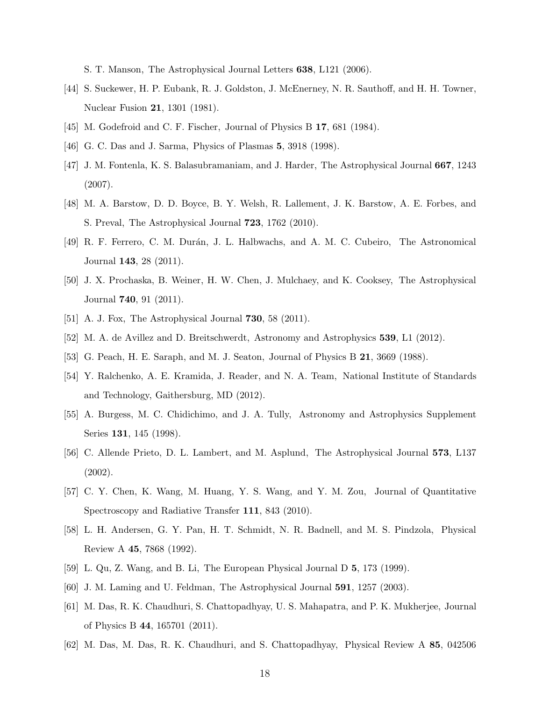S. T. Manson, The Astrophysical Journal Letters 638, L121 (2006).

- <span id="page-17-0"></span>[44] S. Suckewer, H. P. Eubank, R. J. Goldston, J. McEnerney, N. R. Sauthoff, and H. H. Towner, Nuclear Fusion 21, 1301 (1981).
- <span id="page-17-1"></span>[45] M. Godefroid and C. F. Fischer, Journal of Physics B 17, 681 (1984).
- <span id="page-17-2"></span>[46] G. C. Das and J. Sarma, Physics of Plasmas **5**, 3918 (1998).
- [47] J. M. Fontenla, K. S. Balasubramaniam, and J. Harder, The Astrophysical Journal 667, 1243 (2007).
- <span id="page-17-3"></span>[48] M. A. Barstow, D. D. Boyce, B. Y. Welsh, R. Lallement, J. K. Barstow, A. E. Forbes, and S. Preval, The Astrophysical Journal 723, 1762 (2010).
- [49] R. F. Ferrero, C. M. Durán, J. L. Halbwachs, and A. M. C. Cubeiro, The Astronomical Journal 143, 28 (2011).
- [50] J. X. Prochaska, B. Weiner, H. W. Chen, J. Mulchaey, and K. Cooksey, The Astrophysical Journal 740, 91 (2011).
- <span id="page-17-4"></span>[51] A. J. Fox, The Astrophysical Journal **730**, 58 (2011).
- <span id="page-17-5"></span>[52] M. A. de Avillez and D. Breitschwerdt, Astronomy and Astrophysics 539, L1 (2012).
- <span id="page-17-6"></span>[53] G. Peach, H. E. Saraph, and M. J. Seaton, Journal of Physics B 21, 3669 (1988).
- [54] Y. Ralchenko, A. E. Kramida, J. Reader, and N. A. Team, National Institute of Standards and Technology, Gaithersburg, MD (2012).
- <span id="page-17-7"></span>[55] A. Burgess, M. C. Chidichimo, and J. A. Tully, Astronomy and Astrophysics Supplement Series 131, 145 (1998).
- [56] C. Allende Prieto, D. L. Lambert, and M. Asplund, The Astrophysical Journal 573, L137 (2002).
- <span id="page-17-8"></span>[57] C. Y. Chen, K. Wang, M. Huang, Y. S. Wang, and Y. M. Zou, Journal of Quantitative Spectroscopy and Radiative Transfer 111, 843 (2010).
- <span id="page-17-9"></span>[58] L. H. Andersen, G. Y. Pan, H. T. Schmidt, N. R. Badnell, and M. S. Pindzola, Physical Review A 45, 7868 (1992).
- [59] L. Qu, Z. Wang, and B. Li, The European Physical Journal D 5, 173 (1999).
- <span id="page-17-10"></span>[60] J. M. Laming and U. Feldman, The Astrophysical Journal 591, 1257 (2003).
- <span id="page-17-11"></span>[61] M. Das, R. K. Chaudhuri, S. Chattopadhyay, U. S. Mahapatra, and P. K. Mukherjee, Journal of Physics B 44, 165701 (2011).
- <span id="page-17-12"></span>[62] M. Das, M. Das, R. K. Chaudhuri, and S. Chattopadhyay, Physical Review A 85, 042506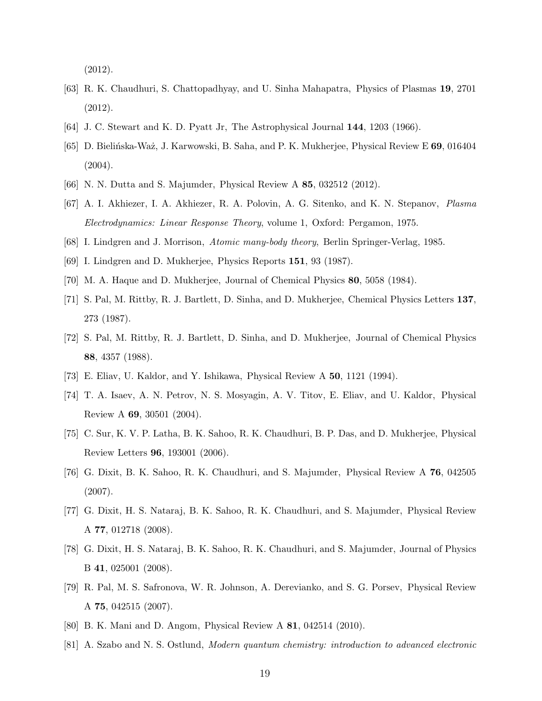(2012).

- <span id="page-18-0"></span>[63] R. K. Chaudhuri, S. Chattopadhyay, and U. Sinha Mahapatra, Physics of Plasmas 19, 2701 (2012).
- <span id="page-18-2"></span><span id="page-18-1"></span>[64] J. C. Stewart and K. D. Pyatt Jr, The Astrophysical Journal 144, 1203 (1966).
- [65] D. Bielińska-Waż, J. Karwowski, B. Saha, and P. K. Mukherjee, Physical Review E 69, 016404  $(2004).$
- <span id="page-18-4"></span><span id="page-18-3"></span>[66] N. N. Dutta and S. Majumder, Physical Review A 85, 032512 (2012).
- [67] A. I. Akhiezer, I. A. Akhiezer, R. A. Polovin, A. G. Sitenko, and K. N. Stepanov, Plasma Electrodynamics: Linear Response Theory, volume 1, Oxford: Pergamon, 1975.
- <span id="page-18-5"></span>[68] I. Lindgren and J. Morrison, Atomic many-body theory, Berlin Springer-Verlag, 1985.
- [69] I. Lindgren and D. Mukherjee, Physics Reports 151, 93 (1987).
- [70] M. A. Haque and D. Mukherjee, Journal of Chemical Physics 80, 5058 (1984).
- [71] S. Pal, M. Rittby, R. J. Bartlett, D. Sinha, and D. Mukherjee, Chemical Physics Letters 137, 273 (1987).
- <span id="page-18-6"></span>[72] S. Pal, M. Rittby, R. J. Bartlett, D. Sinha, and D. Mukherjee, Journal of Chemical Physics 88, 4357 (1988).
- <span id="page-18-7"></span>[73] E. Eliav, U. Kaldor, and Y. Ishikawa, Physical Review A 50, 1121 (1994).
- [74] T. A. Isaev, A. N. Petrov, N. S. Mosyagin, A. V. Titov, E. Eliav, and U. Kaldor, Physical Review A 69, 30501 (2004).
- [75] C. Sur, K. V. P. Latha, B. K. Sahoo, R. K. Chaudhuri, B. P. Das, and D. Mukherjee, Physical Review Letters 96, 193001 (2006).
- [76] G. Dixit, B. K. Sahoo, R. K. Chaudhuri, and S. Majumder, Physical Review A 76, 042505 (2007).
- [77] G. Dixit, H. S. Nataraj, B. K. Sahoo, R. K. Chaudhuri, and S. Majumder, Physical Review A 77, 012718 (2008).
- [78] G. Dixit, H. S. Nataraj, B. K. Sahoo, R. K. Chaudhuri, and S. Majumder, Journal of Physics B 41, 025001 (2008).
- [79] R. Pal, M. S. Safronova, W. R. Johnson, A. Derevianko, and S. G. Porsev, Physical Review A 75, 042515 (2007).
- <span id="page-18-8"></span>[80] B. K. Mani and D. Angom, Physical Review A 81, 042514 (2010).
- <span id="page-18-9"></span>[81] A. Szabo and N. S. Ostlund, Modern quantum chemistry: introduction to advanced electronic